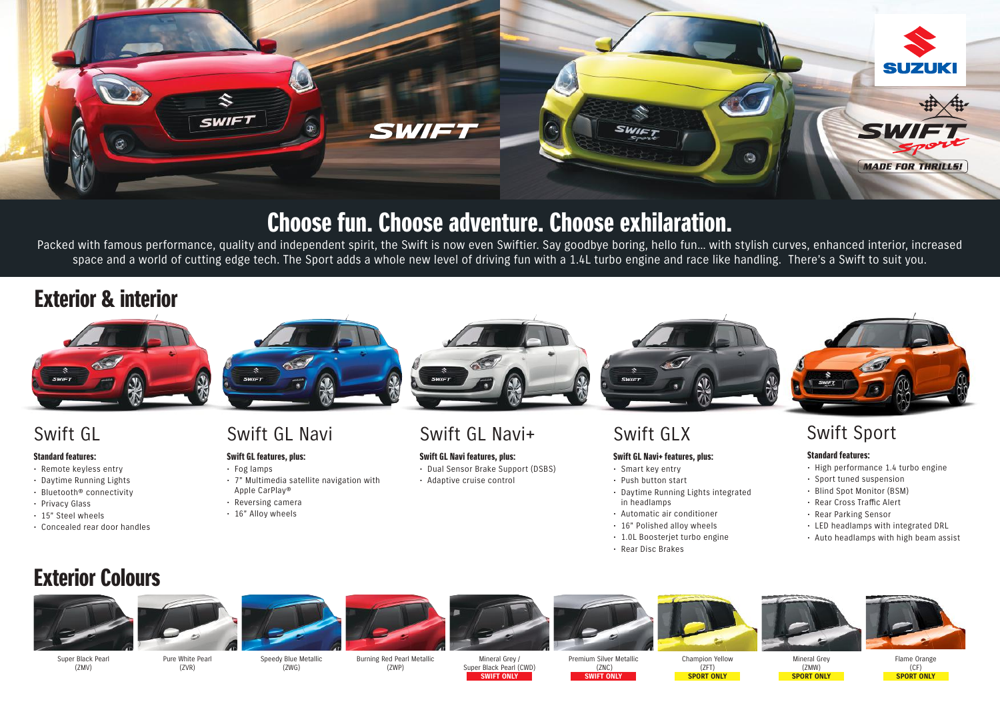

# Choose fun. Choose adventure. Choose exhilaration.

Packed with famous performance, quality and independent spirit, the Swift is now even Swiftier. Say goodbye boring, hello fun... with stylish curves, enhanced interior, increased space and a world of cutting edge tech. The Sport adds a whole new level of driving fun with a 1.4L turbo engine and race like handling. There's a Swift to suit you.

## Exterior & interior



### Standard features:

- Remote keyless entry
- Daytime Running Lights
- Bluetooth® connectivity
- Privacy Glass
- 15" Steel wheels
- Concealed rear door handles



### Swift GL features, plus:

- Fog lamps
- 7" Multimedia satellite navigation with Apple CarPlay®
- Reversing camera
- 16" Alloy wheels



## Swift GL Swift GL Navi Swift GL Navi+

Swift GL Navi features, plus:

• Dual Sensor Brake Support (DSBS) • Adaptive cruise control



- Smart key entry
- Push button start
- Daytime Running Lights integrated in headlamps
- Automatic air conditioner
- 16" Polished alloy wheels
- 1.0L Boosterjet turbo engine
- Rear Disc Brakes



## Swift Sport

### Standard features:

- High performance 1.4 turbo engine
- Sport tuned suspension
- Blind Spot Monitor (BSM)
- Rear Cross Traffic Alert
- Rear Parking Sensor
- LED headlamps with integrated DRL
- Auto headlamps with high beam assist

# Exterior Colours



















Super Black Pearl (ZMV)

Pure White Pearl  $(7VR)$ 

Speedy Blue Metallic (ZWG)

Burning Red Pearl Metallic (ZWP)

Mineral Grey / Super Black Pearl (CWD) **SWIFT ONLY**

Premium Silver Metallic (ZNC) **SWIFT ONLY**

Champion Yellow  $(7FT)$ **SPORT ONLY**

Mineral Grey (ZMW) **SPORT ONLY**

Flame Orange  $(CF)$ **SPORT ONLY**